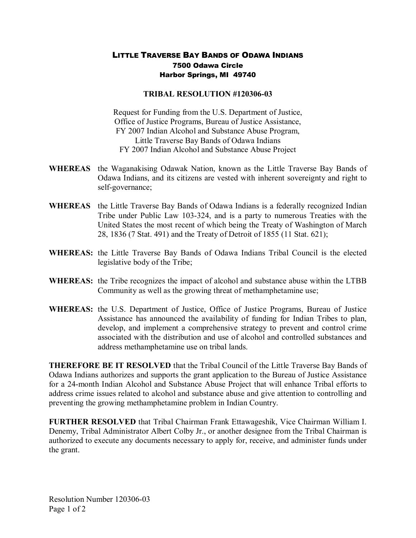## LITTLE TRAVERSE BAY BANDS OF ODAWA INDIANS 7500 Odawa Circle Harbor Springs, MI 49740

## **TRIBAL RESOLUTION #120306-03**

Request for Funding from the U.S. Department of Justice, Office of Justice Programs, Bureau of Justice Assistance, FY 2007 Indian Alcohol and Substance Abuse Program, Little Traverse Bay Bands of Odawa Indians FY 2007 Indian Alcohol and Substance Abuse Project

- **WHEREAS** the Waganakising Odawak Nation, known as the Little Traverse Bay Bands of Odawa Indians, and its citizens are vested with inherent sovereignty and right to self-governance;
- **WHEREAS** the Little Traverse Bay Bands of Odawa Indians is a federally recognized Indian Tribe under Public Law 103-324, and is a party to numerous Treaties with the United States the most recent of which being the Treaty of Washington of March 28, 1836 (7 Stat. 491) and the Treaty of Detroit of 1855 (11 Stat. 621);
- **WHEREAS:** the Little Traverse Bay Bands of Odawa Indians Tribal Council is the elected legislative body of the Tribe;
- **WHEREAS:** the Tribe recognizes the impact of alcohol and substance abuse within the LTBB Community as well as the growing threat of methamphetamine use;
- **WHEREAS:** the U.S. Department of Justice, Office of Justice Programs, Bureau of Justice Assistance has announced the availability of funding for Indian Tribes to plan, develop, and implement a comprehensive strategy to prevent and control crime associated with the distribution and use of alcohol and controlled substances and address methamphetamine use on tribal lands.

**THEREFORE BE IT RESOLVED** that the Tribal Council of the Little Traverse Bay Bands of Odawa Indians authorizes and supports the grant application to the Bureau of Justice Assistance for a 24-month Indian Alcohol and Substance Abuse Project that will enhance Tribal efforts to address crime issues related to alcohol and substance abuse and give attention to controlling and preventing the growing methamphetamine problem in Indian Country.

**FURTHER RESOLVED** that Tribal Chairman Frank Ettawageshik, Vice Chairman William I. Denemy, Tribal Administrator Albert Colby Jr., or another designee from the Tribal Chairman is authorized to execute any documents necessary to apply for, receive, and administer funds under the grant.